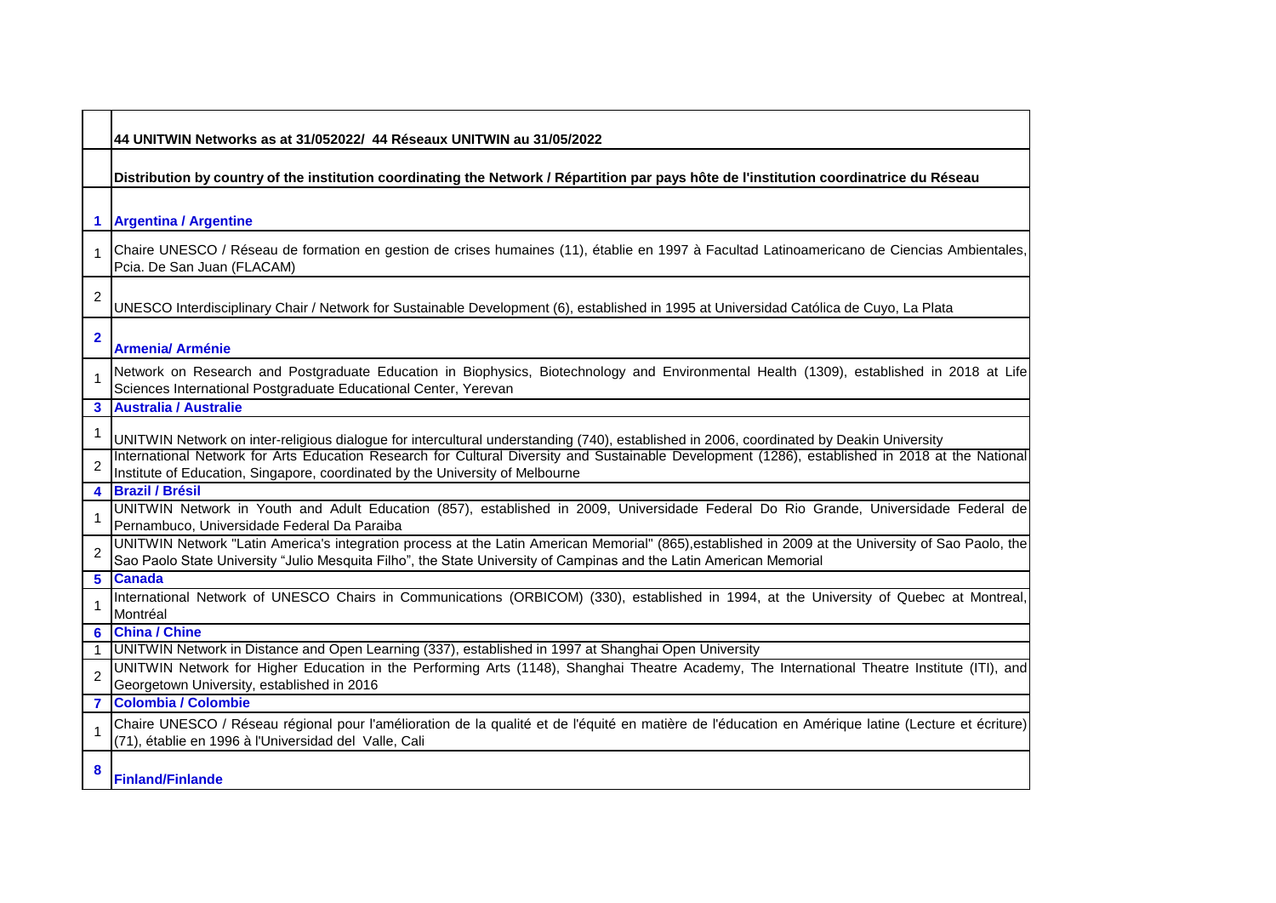|                                | 44 UNITWIN Networks as at 31/052022/ 44 Réseaux UNITWIN au 31/05/2022                                                                                                                                                                                                                                                                                                         |
|--------------------------------|-------------------------------------------------------------------------------------------------------------------------------------------------------------------------------------------------------------------------------------------------------------------------------------------------------------------------------------------------------------------------------|
|                                | Distribution by country of the institution coordinating the Network / Répartition par pays hôte de l'institution coordinatrice du Réseau                                                                                                                                                                                                                                      |
| 1.                             | <b>Argentina / Argentine</b>                                                                                                                                                                                                                                                                                                                                                  |
|                                | Chaire UNESCO / Réseau de formation en gestion de crises humaines (11), établie en 1997 à Facultad Latinoamericano de Ciencias Ambientales,<br>Pcia. De San Juan (FLACAM)                                                                                                                                                                                                     |
| 2                              | UNESCO Interdisciplinary Chair / Network for Sustainable Development (6), established in 1995 at Universidad Católica de Cuyo, La Plata                                                                                                                                                                                                                                       |
| $\mathbf{2}$                   | <b>Armenia/ Arménie</b>                                                                                                                                                                                                                                                                                                                                                       |
|                                | Network on Research and Postgraduate Education in Biophysics, Biotechnology and Environmental Health (1309), established in 2018 at Life<br>Sciences International Postgraduate Educational Center, Yerevan                                                                                                                                                                   |
| 3                              | <b>Australia / Australie</b>                                                                                                                                                                                                                                                                                                                                                  |
| $\mathbf{1}$<br>$\overline{2}$ | UNITWIN Network on inter-religious dialogue for intercultural understanding (740), established in 2006, coordinated by Deakin University<br>International Network for Arts Education Research for Cultural Diversity and Sustainable Development (1286), established in 2018 at the National<br>Institute of Education, Singapore, coordinated by the University of Melbourne |
| 4                              | <b>Brazil / Brésil</b>                                                                                                                                                                                                                                                                                                                                                        |
| $\mathbf{1}$                   | UNITWIN Network in Youth and Adult Education (857), established in 2009, Universidade Federal Do Rio Grande, Universidade Federal de<br>Pernambuco, Universidade Federal Da Paraiba                                                                                                                                                                                           |
| $\mathfrak{p}$                 | UNITWIN Network "Latin America's integration process at the Latin American Memorial" (865), established in 2009 at the University of Sao Paolo, the<br>Sao Paolo State University "Julio Mesquita Filho", the State University of Campinas and the Latin American Memorial                                                                                                    |
| 5                              | <b>Canada</b>                                                                                                                                                                                                                                                                                                                                                                 |
|                                | International Network of UNESCO Chairs in Communications (ORBICOM) (330), established in 1994, at the University of Quebec at Montreal,<br>Montréal                                                                                                                                                                                                                           |
| 6                              | <b>China / Chine</b>                                                                                                                                                                                                                                                                                                                                                          |
| $\mathbf{1}$                   | UNITWIN Network in Distance and Open Learning (337), established in 1997 at Shanghai Open University                                                                                                                                                                                                                                                                          |
| $\overline{2}$                 | UNITWIN Network for Higher Education in the Performing Arts (1148), Shanghai Theatre Academy, The International Theatre Institute (ITI), and<br>Georgetown University, established in 2016                                                                                                                                                                                    |
|                                | <b>Colombia / Colombie</b>                                                                                                                                                                                                                                                                                                                                                    |
|                                | Chaire UNESCO / Réseau régional pour l'amélioration de la qualité et de l'équité en matière de l'éducation en Amérique latine (Lecture et écriture)<br>(71), établie en 1996 à l'Universidad del Valle, Cali                                                                                                                                                                  |
| 8                              | <b>Finland/Finlande</b>                                                                                                                                                                                                                                                                                                                                                       |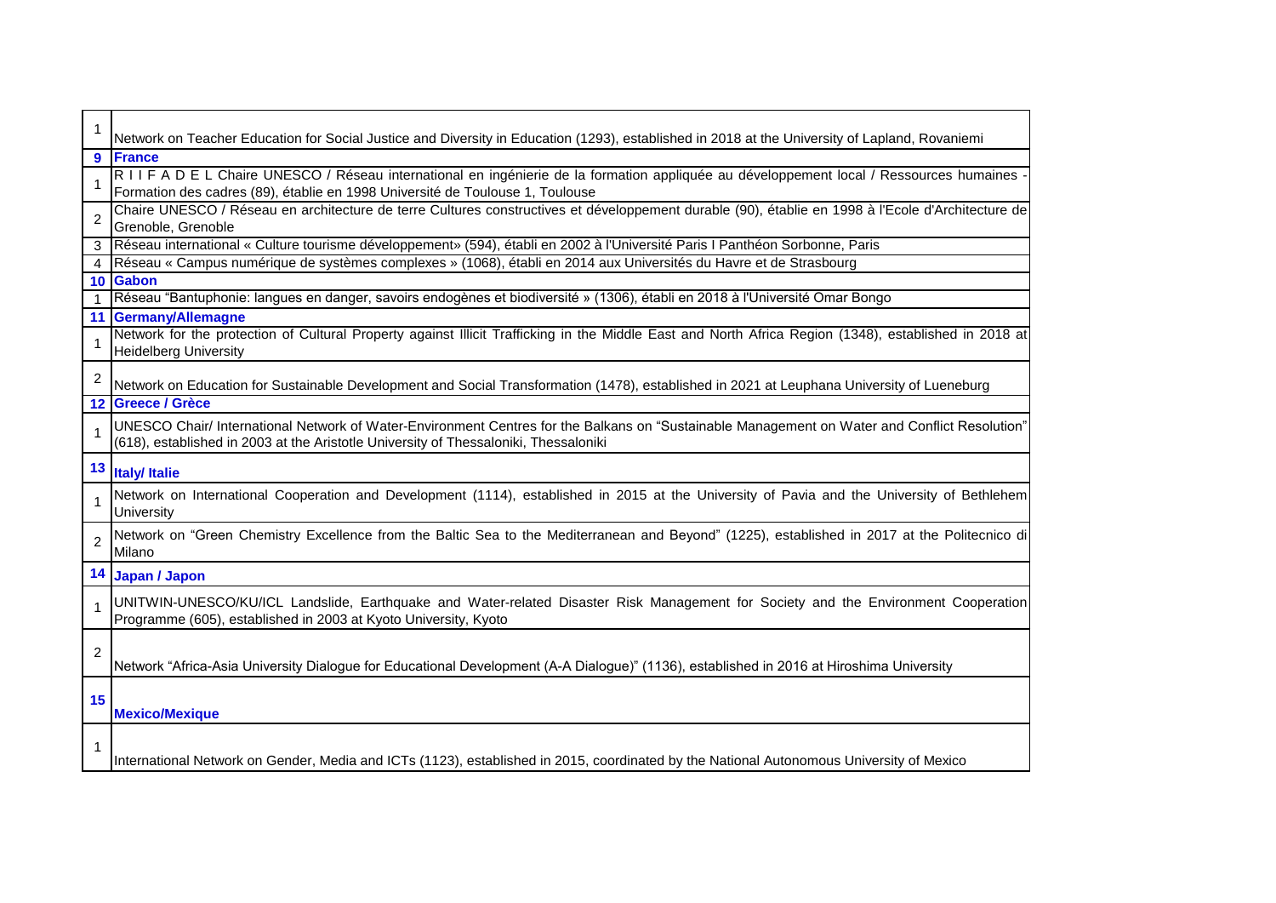|                 | Network on Teacher Education for Social Justice and Diversity in Education (1293), established in 2018 at the University of Lapland, Rovaniemi                                                                                        |
|-----------------|---------------------------------------------------------------------------------------------------------------------------------------------------------------------------------------------------------------------------------------|
| $\overline{9}$  | <b>France</b>                                                                                                                                                                                                                         |
| 1               | RIIFADEL Chaire UNESCO / Réseau international en ingénierie de la formation appliquée au développement local / Ressources humaines<br>Formation des cadres (89), établie en 1998 Université de Toulouse 1, Toulouse                   |
| $\overline{2}$  | Chaire UNESCO / Réseau en architecture de terre Cultures constructives et développement durable (90), établie en 1998 à l'Ecole d'Architecture de<br>Grenoble, Grenoble                                                               |
| 3 <sup>1</sup>  | Réseau international « Culture tourisme développement» (594), établi en 2002 à l'Université Paris I Panthéon Sorbonne, Paris                                                                                                          |
|                 | 4 Réseau « Campus numérique de systèmes complexes » (1068), établi en 2014 aux Universités du Havre et de Strasbourg                                                                                                                  |
|                 | 10 Gabon                                                                                                                                                                                                                              |
|                 | Réseau "Bantuphonie: langues en danger, savoirs endogènes et biodiversité » (1306), établi en 2018 à l'Université Omar Bongo                                                                                                          |
|                 | 11 Germany/Allemagne                                                                                                                                                                                                                  |
| 1               | Network for the protection of Cultural Property against Illicit Trafficking in the Middle East and North Africa Region (1348), established in 2018 at<br><b>Heidelberg University</b>                                                 |
| $\overline{c}$  | Network on Education for Sustainable Development and Social Transformation (1478), established in 2021 at Leuphana University of Lueneburg                                                                                            |
| 12 <sub>2</sub> | <b>Greece / Grèce</b>                                                                                                                                                                                                                 |
| 1               | UNESCO Chair/ International Network of Water-Environment Centres for the Balkans on "Sustainable Management on Water and Conflict Resolution"<br>(618), established in 2003 at the Aristotle University of Thessaloniki, Thessaloniki |
| 13              | <b>Italy/Italie</b>                                                                                                                                                                                                                   |
|                 | Network on International Cooperation and Development (1114), established in 2015 at the University of Pavia and the University of Bethlehem<br>University                                                                             |
| $\overline{2}$  | Network on "Green Chemistry Excellence from the Baltic Sea to the Mediterranean and Beyond" (1225), established in 2017 at the Politecnico di<br>Milano                                                                               |
| 14              | Japan / Japon                                                                                                                                                                                                                         |
| $\mathbf{1}$    | UNITWIN-UNESCO/KU/ICL Landslide, Earthquake and Water-related Disaster Risk Management for Society and the Environment Cooperation<br>Programme (605), established in 2003 at Kyoto University, Kyoto                                 |
| $\overline{2}$  | Network "Africa-Asia University Dialogue for Educational Development (A-A Dialogue)" (1136), established in 2016 at Hiroshima University                                                                                              |
| 15              | <b>Mexico/Mexique</b>                                                                                                                                                                                                                 |
| $\mathbf 1$     | International Network on Gender, Media and ICTs (1123), established in 2015, coordinated by the National Autonomous University of Mexico                                                                                              |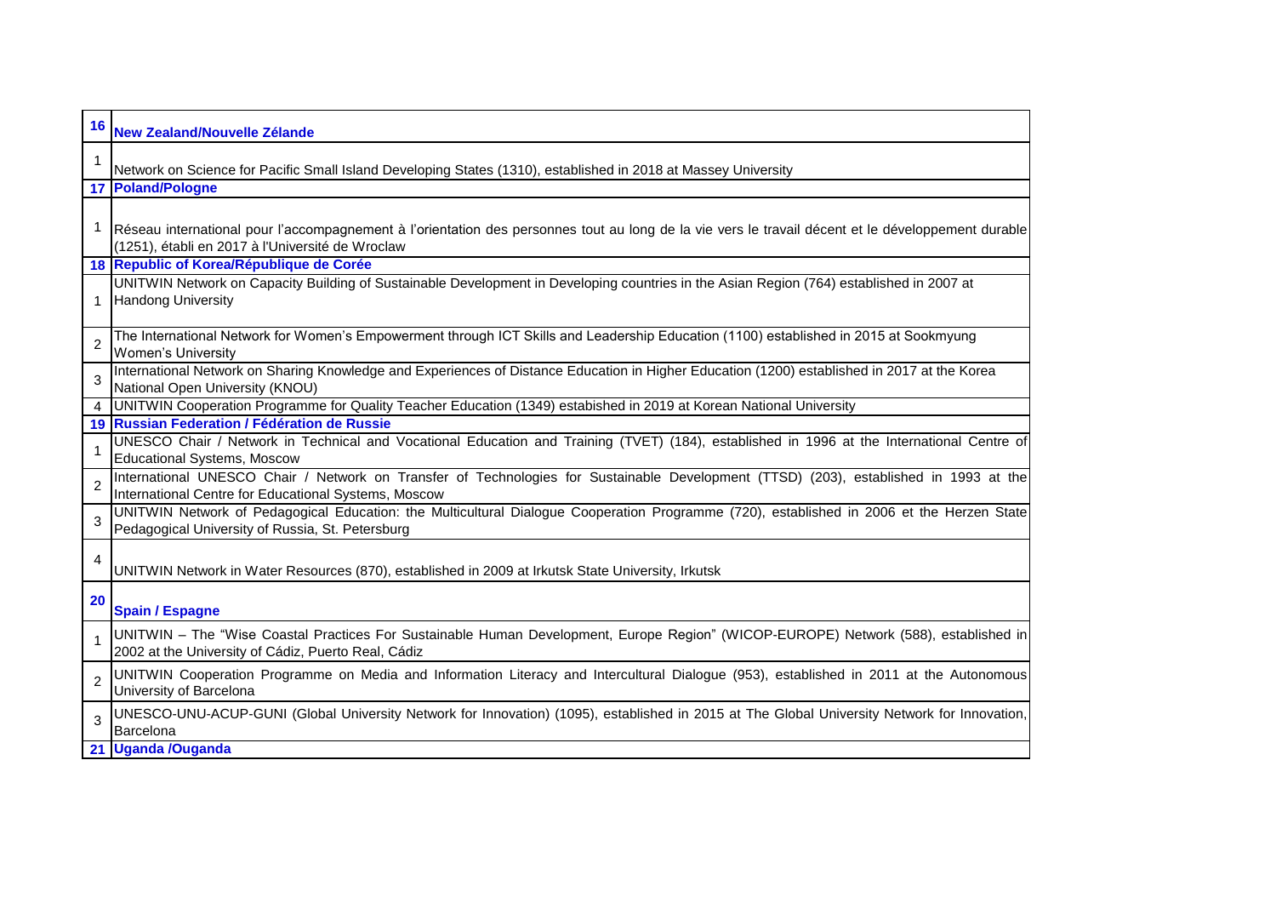| <b>New Zealand/Nouvelle Zélande</b><br>Network on Science for Pacific Small Island Developing States (1310), established in 2018 at Massey University<br>17 Poland/Pologne<br>Réseau international pour l'accompagnement à l'orientation des personnes tout au long de la vie vers le travail décent et le développement durable<br>(1251), établi en 2017 à l'Université de Wroclaw<br>18 Republic of Korea/République de Corée<br>UNITWIN Network on Capacity Building of Sustainable Development in Developing countries in the Asian Region (764) established in 2007 at<br><b>Handong University</b><br>The International Network for Women's Empowerment through ICT Skills and Leadership Education (1100) established in 2015 at Sookmyung<br>Women's University<br>International Network on Sharing Knowledge and Experiences of Distance Education in Higher Education (1200) established in 2017 at the Korea<br>National Open University (KNOU)<br>UNITWIN Cooperation Programme for Quality Teacher Education (1349) estabished in 2019 at Korean National University<br>19 Russian Federation / Fédération de Russie<br>UNESCO Chair / Network in Technical and Vocational Education and Training (TVET) (184), established in 1996 at the International Centre of<br><b>Educational Systems, Moscow</b><br>International UNESCO Chair / Network on Transfer of Technologies for Sustainable Development (TTSD) (203), established in 1993 at the<br>International Centre for Educational Systems, Moscow<br>Pedagogical University of Russia, St. Petersburg<br>UNITWIN Network in Water Resources (870), established in 2009 at Irkutsk State University, Irkutsk<br><b>Spain / Espagne</b><br>UNITWIN - The "Wise Coastal Practices For Sustainable Human Development, Europe Region" (WICOP-EUROPE) Network (588), established in<br>2002 at the University of Cádiz, Puerto Real, Cádiz<br>UNITWIN Cooperation Programme on Media and Information Literacy and Intercultural Dialogue (953), established in 2011 at the Autonomous<br>University of Barcelona<br>UNESCO-UNU-ACUP-GUNI (Global University Network for Innovation) (1095), established in 2015 at The Global University Network for Innovation,<br>Barcelona<br>21 Uganda /Ouganda |                |                                                                                                                                           |
|---------------------------------------------------------------------------------------------------------------------------------------------------------------------------------------------------------------------------------------------------------------------------------------------------------------------------------------------------------------------------------------------------------------------------------------------------------------------------------------------------------------------------------------------------------------------------------------------------------------------------------------------------------------------------------------------------------------------------------------------------------------------------------------------------------------------------------------------------------------------------------------------------------------------------------------------------------------------------------------------------------------------------------------------------------------------------------------------------------------------------------------------------------------------------------------------------------------------------------------------------------------------------------------------------------------------------------------------------------------------------------------------------------------------------------------------------------------------------------------------------------------------------------------------------------------------------------------------------------------------------------------------------------------------------------------------------------------------------------------------------------------------------------------------------------------------------------------------------------------------------------------------------------------------------------------------------------------------------------------------------------------------------------------------------------------------------------------------------------------------------------------------------------------------------------------------------------------------------------------------------------------------|----------------|-------------------------------------------------------------------------------------------------------------------------------------------|
|                                                                                                                                                                                                                                                                                                                                                                                                                                                                                                                                                                                                                                                                                                                                                                                                                                                                                                                                                                                                                                                                                                                                                                                                                                                                                                                                                                                                                                                                                                                                                                                                                                                                                                                                                                                                                                                                                                                                                                                                                                                                                                                                                                                                                                                                     | 16             |                                                                                                                                           |
|                                                                                                                                                                                                                                                                                                                                                                                                                                                                                                                                                                                                                                                                                                                                                                                                                                                                                                                                                                                                                                                                                                                                                                                                                                                                                                                                                                                                                                                                                                                                                                                                                                                                                                                                                                                                                                                                                                                                                                                                                                                                                                                                                                                                                                                                     | 1              |                                                                                                                                           |
|                                                                                                                                                                                                                                                                                                                                                                                                                                                                                                                                                                                                                                                                                                                                                                                                                                                                                                                                                                                                                                                                                                                                                                                                                                                                                                                                                                                                                                                                                                                                                                                                                                                                                                                                                                                                                                                                                                                                                                                                                                                                                                                                                                                                                                                                     |                |                                                                                                                                           |
|                                                                                                                                                                                                                                                                                                                                                                                                                                                                                                                                                                                                                                                                                                                                                                                                                                                                                                                                                                                                                                                                                                                                                                                                                                                                                                                                                                                                                                                                                                                                                                                                                                                                                                                                                                                                                                                                                                                                                                                                                                                                                                                                                                                                                                                                     |                |                                                                                                                                           |
|                                                                                                                                                                                                                                                                                                                                                                                                                                                                                                                                                                                                                                                                                                                                                                                                                                                                                                                                                                                                                                                                                                                                                                                                                                                                                                                                                                                                                                                                                                                                                                                                                                                                                                                                                                                                                                                                                                                                                                                                                                                                                                                                                                                                                                                                     | 1              |                                                                                                                                           |
|                                                                                                                                                                                                                                                                                                                                                                                                                                                                                                                                                                                                                                                                                                                                                                                                                                                                                                                                                                                                                                                                                                                                                                                                                                                                                                                                                                                                                                                                                                                                                                                                                                                                                                                                                                                                                                                                                                                                                                                                                                                                                                                                                                                                                                                                     |                |                                                                                                                                           |
|                                                                                                                                                                                                                                                                                                                                                                                                                                                                                                                                                                                                                                                                                                                                                                                                                                                                                                                                                                                                                                                                                                                                                                                                                                                                                                                                                                                                                                                                                                                                                                                                                                                                                                                                                                                                                                                                                                                                                                                                                                                                                                                                                                                                                                                                     |                |                                                                                                                                           |
|                                                                                                                                                                                                                                                                                                                                                                                                                                                                                                                                                                                                                                                                                                                                                                                                                                                                                                                                                                                                                                                                                                                                                                                                                                                                                                                                                                                                                                                                                                                                                                                                                                                                                                                                                                                                                                                                                                                                                                                                                                                                                                                                                                                                                                                                     | $\overline{2}$ |                                                                                                                                           |
|                                                                                                                                                                                                                                                                                                                                                                                                                                                                                                                                                                                                                                                                                                                                                                                                                                                                                                                                                                                                                                                                                                                                                                                                                                                                                                                                                                                                                                                                                                                                                                                                                                                                                                                                                                                                                                                                                                                                                                                                                                                                                                                                                                                                                                                                     | 3              |                                                                                                                                           |
|                                                                                                                                                                                                                                                                                                                                                                                                                                                                                                                                                                                                                                                                                                                                                                                                                                                                                                                                                                                                                                                                                                                                                                                                                                                                                                                                                                                                                                                                                                                                                                                                                                                                                                                                                                                                                                                                                                                                                                                                                                                                                                                                                                                                                                                                     |                |                                                                                                                                           |
|                                                                                                                                                                                                                                                                                                                                                                                                                                                                                                                                                                                                                                                                                                                                                                                                                                                                                                                                                                                                                                                                                                                                                                                                                                                                                                                                                                                                                                                                                                                                                                                                                                                                                                                                                                                                                                                                                                                                                                                                                                                                                                                                                                                                                                                                     |                |                                                                                                                                           |
|                                                                                                                                                                                                                                                                                                                                                                                                                                                                                                                                                                                                                                                                                                                                                                                                                                                                                                                                                                                                                                                                                                                                                                                                                                                                                                                                                                                                                                                                                                                                                                                                                                                                                                                                                                                                                                                                                                                                                                                                                                                                                                                                                                                                                                                                     |                |                                                                                                                                           |
|                                                                                                                                                                                                                                                                                                                                                                                                                                                                                                                                                                                                                                                                                                                                                                                                                                                                                                                                                                                                                                                                                                                                                                                                                                                                                                                                                                                                                                                                                                                                                                                                                                                                                                                                                                                                                                                                                                                                                                                                                                                                                                                                                                                                                                                                     | $\overline{2}$ |                                                                                                                                           |
|                                                                                                                                                                                                                                                                                                                                                                                                                                                                                                                                                                                                                                                                                                                                                                                                                                                                                                                                                                                                                                                                                                                                                                                                                                                                                                                                                                                                                                                                                                                                                                                                                                                                                                                                                                                                                                                                                                                                                                                                                                                                                                                                                                                                                                                                     | 3              | UNITWIN Network of Pedagogical Education: the Multicultural Dialogue Cooperation Programme (720), established in 2006 et the Herzen State |
|                                                                                                                                                                                                                                                                                                                                                                                                                                                                                                                                                                                                                                                                                                                                                                                                                                                                                                                                                                                                                                                                                                                                                                                                                                                                                                                                                                                                                                                                                                                                                                                                                                                                                                                                                                                                                                                                                                                                                                                                                                                                                                                                                                                                                                                                     | 4              |                                                                                                                                           |
|                                                                                                                                                                                                                                                                                                                                                                                                                                                                                                                                                                                                                                                                                                                                                                                                                                                                                                                                                                                                                                                                                                                                                                                                                                                                                                                                                                                                                                                                                                                                                                                                                                                                                                                                                                                                                                                                                                                                                                                                                                                                                                                                                                                                                                                                     | 20             |                                                                                                                                           |
|                                                                                                                                                                                                                                                                                                                                                                                                                                                                                                                                                                                                                                                                                                                                                                                                                                                                                                                                                                                                                                                                                                                                                                                                                                                                                                                                                                                                                                                                                                                                                                                                                                                                                                                                                                                                                                                                                                                                                                                                                                                                                                                                                                                                                                                                     | 1              |                                                                                                                                           |
|                                                                                                                                                                                                                                                                                                                                                                                                                                                                                                                                                                                                                                                                                                                                                                                                                                                                                                                                                                                                                                                                                                                                                                                                                                                                                                                                                                                                                                                                                                                                                                                                                                                                                                                                                                                                                                                                                                                                                                                                                                                                                                                                                                                                                                                                     | $\overline{2}$ |                                                                                                                                           |
|                                                                                                                                                                                                                                                                                                                                                                                                                                                                                                                                                                                                                                                                                                                                                                                                                                                                                                                                                                                                                                                                                                                                                                                                                                                                                                                                                                                                                                                                                                                                                                                                                                                                                                                                                                                                                                                                                                                                                                                                                                                                                                                                                                                                                                                                     | 3              |                                                                                                                                           |
|                                                                                                                                                                                                                                                                                                                                                                                                                                                                                                                                                                                                                                                                                                                                                                                                                                                                                                                                                                                                                                                                                                                                                                                                                                                                                                                                                                                                                                                                                                                                                                                                                                                                                                                                                                                                                                                                                                                                                                                                                                                                                                                                                                                                                                                                     |                |                                                                                                                                           |